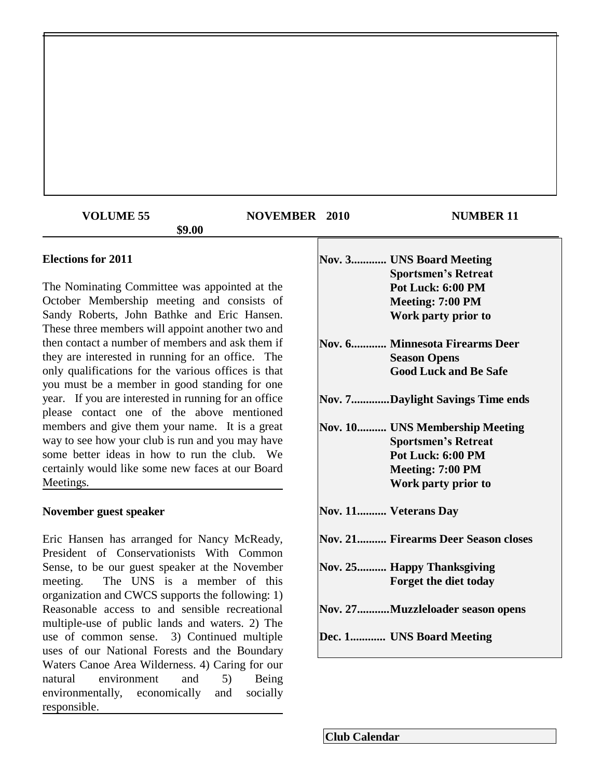## **VOLUME 55 NOVEMBER 2010 NUMBER 11**

### **\$9.00**

**Elections for 2011**

The Nominating Committee was appointed at the October Membership meeting and consists of Sandy Roberts, John Bathke and Eric Hansen. These three members will appoint another two and then contact a number of members and ask them if they are interested in running for an office. The only qualifications for the various offices is that you must be a member in good standing for one year. If you are interested in running for an office please contact one of the above mentioned members and give them your name. It is a great way to see how your club is run and you may have some better ideas in how to run the club. We certainly would like some new faces at our Board Meetings.

## **November guest speaker**

Eric Hansen has arranged for Nancy McReady, President of Conservationists With Common Sense, to be our guest speaker at the November meeting. The UNS is a member of this organization and CWCS supports the following: 1) Reasonable access to and sensible recreational multiple-use of public lands and waters. 2) The use of common sense. 3) Continued multiple uses of our National Forests and the Boundary Waters Canoe Area Wilderness. 4) Caring for our natural environment and 5) Being environmentally, economically and socially responsible.

|  | <b>Nov. 3 UNS Board Meeting</b>            |
|--|--------------------------------------------|
|  | <b>Sportsmen's Retreat</b>                 |
|  | Pot Luck: 6:00 PM                          |
|  | Meeting: 7:00 PM                           |
|  | Work party prior to                        |
|  | Nov. 6 Minnesota Firearms Deer             |
|  | <b>Season Opens</b>                        |
|  | <b>Good Luck and Be Safe</b>               |
|  | Nov. 7Daylight Savings Time ends           |
|  | Nov. 10 UNS Membership Meeting             |
|  | <b>Sportsmen's Retreat</b>                 |
|  | Pot Luck: 6:00 PM                          |
|  | Meeting: 7:00 PM                           |
|  | Work party prior to                        |
|  | Nov. 11 Veterans Day                       |
|  | <b>Nov. 21 Firearms Deer Season closes</b> |
|  | Nov. 25 Happy Thanksgiving                 |
|  | Forget the diet today                      |
|  | Nov. 27Muzzleloader season opens           |
|  | Dec. 1 UNS Board Meeting                   |
|  |                                            |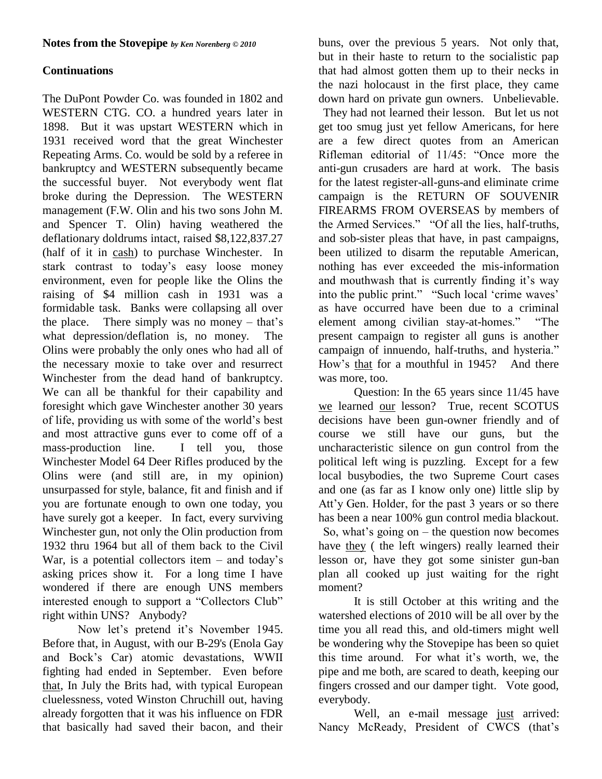## **Continuations**

The DuPont Powder Co. was founded in 1802 and WESTERN CTG. CO. a hundred years later in 1898. But it was upstart WESTERN which in 1931 received word that the great Winchester Repeating Arms. Co. would be sold by a referee in bankruptcy and WESTERN subsequently became the successful buyer. Not everybody went flat broke during the Depression. The WESTERN management (F.W. Olin and his two sons John M. and Spencer T. Olin) having weathered the deflationary doldrums intact, raised \$8,122,837.27 (half of it in cash) to purchase Winchester. In stark contrast to today"s easy loose money environment, even for people like the Olins the raising of \$4 million cash in 1931 was a formidable task. Banks were collapsing all over the place. There simply was no money  $-$  that's what depression/deflation is, no money. The Olins were probably the only ones who had all of the necessary moxie to take over and resurrect Winchester from the dead hand of bankruptcy. We can all be thankful for their capability and foresight which gave Winchester another 30 years of life, providing us with some of the world"s best and most attractive guns ever to come off of a mass-production line. I tell you, those Winchester Model 64 Deer Rifles produced by the Olins were (and still are, in my opinion) unsurpassed for style, balance, fit and finish and if you are fortunate enough to own one today, you have surely got a keeper. In fact, every surviving Winchester gun, not only the Olin production from 1932 thru 1964 but all of them back to the Civil War, is a potential collectors item  $-$  and today's asking prices show it. For a long time I have wondered if there are enough UNS members interested enough to support a "Collectors Club" right within UNS? Anybody?

Now let's pretend it's November 1945. Before that, in August, with our B-29's (Enola Gay and Bock"s Car) atomic devastations, WWII fighting had ended in September. Even before that, In July the Brits had, with typical European cluelessness, voted Winston Chruchill out, having already forgotten that it was his influence on FDR that basically had saved their bacon, and their

buns, over the previous 5 years. Not only that, but in their haste to return to the socialistic pap that had almost gotten them up to their necks in the nazi holocaust in the first place, they came down hard on private gun owners. Unbelievable.

They had not learned their lesson. But let us not get too smug just yet fellow Americans, for here are a few direct quotes from an American Rifleman editorial of 11/45: "Once more the anti-gun crusaders are hard at work. The basis for the latest register-all-guns-and eliminate crime campaign is the RETURN OF SOUVENIR FIREARMS FROM OVERSEAS by members of the Armed Services." "Of all the lies, half-truths, and sob-sister pleas that have, in past campaigns, been utilized to disarm the reputable American, nothing has ever exceeded the mis-information and mouthwash that is currently finding it's way into the public print." "Such local 'crime waves' as have occurred have been due to a criminal element among civilian stay-at-homes." "The present campaign to register all guns is another campaign of innuendo, half-truths, and hysteria." How"s that for a mouthful in 1945? And there was more, too.

Question: In the 65 years since 11/45 have we learned our lesson? True, recent SCOTUS decisions have been gun-owner friendly and of course we still have our guns, but the uncharacteristic silence on gun control from the political left wing is puzzling. Except for a few local busybodies, the two Supreme Court cases and one (as far as I know only one) little slip by Att"y Gen. Holder, for the past 3 years or so there has been a near 100% gun control media blackout. So, what's going on  $-$  the question now becomes have they ( the left wingers) really learned their lesson or, have they got some sinister gun-ban plan all cooked up just waiting for the right moment?

It is still October at this writing and the watershed elections of 2010 will be all over by the time you all read this, and old-timers might well be wondering why the Stovepipe has been so quiet this time around. For what it"s worth, we, the pipe and me both, are scared to death, keeping our fingers crossed and our damper tight. Vote good, everybody.

Well, an e-mail message just arrived: Nancy McReady, President of CWCS (that's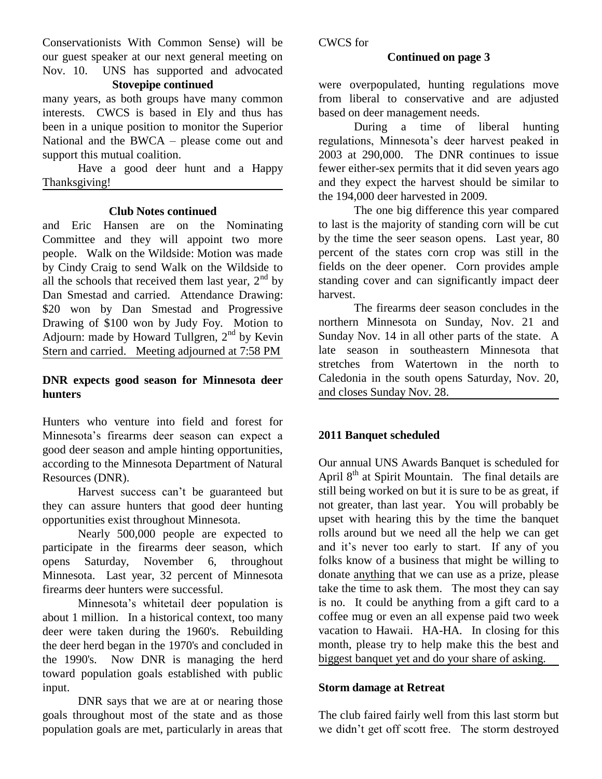Conservationists With Common Sense) will be our guest speaker at our next general meeting on Nov. 10. UNS has supported and advocated

## **Stovepipe continued**

many years, as both groups have many common interests. CWCS is based in Ely and thus has been in a unique position to monitor the Superior National and the BWCA – please come out and support this mutual coalition.

Have a good deer hunt and a Happy Thanksgiving!

#### **Club Notes continued**

and Eric Hansen are on the Nominating Committee and they will appoint two more people. Walk on the Wildside: Motion was made by Cindy Craig to send Walk on the Wildside to all the schools that received them last year,  $2<sup>nd</sup>$  by Dan Smestad and carried. Attendance Drawing: \$20 won by Dan Smestad and Progressive Drawing of \$100 won by Judy Foy. Motion to Adjourn: made by Howard Tullgren,  $2<sup>nd</sup>$  by Kevin Stern and carried. Meeting adjourned at 7:58 PM

## **DNR expects good season for Minnesota deer hunters**

Hunters who venture into field and forest for Minnesota"s firearms deer season can expect a good deer season and ample hinting opportunities, according to the Minnesota Department of Natural Resources (DNR).

Harvest success can"t be guaranteed but they can assure hunters that good deer hunting opportunities exist throughout Minnesota.

Nearly 500,000 people are expected to participate in the firearms deer season, which opens Saturday, November 6, throughout Minnesota. Last year, 32 percent of Minnesota firearms deer hunters were successful.

Minnesota"s whitetail deer population is about 1 million. In a historical context, too many deer were taken during the 1960's. Rebuilding the deer herd began in the 1970's and concluded in the 1990's. Now DNR is managing the herd toward population goals established with public input.

DNR says that we are at or nearing those goals throughout most of the state and as those population goals are met, particularly in areas that CWCS for

#### **Continued on page 3**

were overpopulated, hunting regulations move from liberal to conservative and are adjusted based on deer management needs.

During a time of liberal hunting regulations, Minnesota"s deer harvest peaked in 2003 at 290,000. The DNR continues to issue fewer either-sex permits that it did seven years ago and they expect the harvest should be similar to the 194,000 deer harvested in 2009.

The one big difference this year compared to last is the majority of standing corn will be cut by the time the seer season opens. Last year, 80 percent of the states corn crop was still in the fields on the deer opener. Corn provides ample standing cover and can significantly impact deer harvest.

The firearms deer season concludes in the northern Minnesota on Sunday, Nov. 21 and Sunday Nov. 14 in all other parts of the state. A late season in southeastern Minnesota that stretches from Watertown in the north to Caledonia in the south opens Saturday, Nov. 20, and closes Sunday Nov. 28.

#### **2011 Banquet scheduled**

Our annual UNS Awards Banquet is scheduled for April  $8<sup>th</sup>$  at Spirit Mountain. The final details are still being worked on but it is sure to be as great, if not greater, than last year. You will probably be upset with hearing this by the time the banquet rolls around but we need all the help we can get and it"s never too early to start. If any of you folks know of a business that might be willing to donate anything that we can use as a prize, please take the time to ask them. The most they can say is no. It could be anything from a gift card to a coffee mug or even an all expense paid two week vacation to Hawaii. HA-HA. In closing for this month, please try to help make this the best and biggest banquet yet and do your share of asking.

#### **Storm damage at Retreat**

The club faired fairly well from this last storm but we didn"t get off scott free. The storm destroyed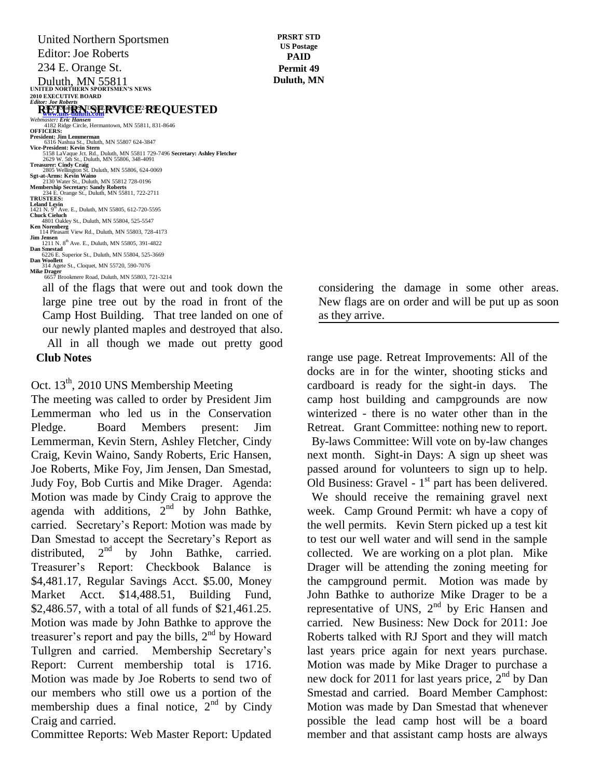Duluth, MN 55811<br>
UNITED NORTHERN SPORTSMEN'S NEWS **2010 EXECUTIVE BOARD**<br>*Editor: Loe Roberts* United Northern Sportsmen Editor: Joe Roberts 234 E. Orange St.

# *Editor: Joe Roberts*<br> **RETURN SERVICE REQUESTED**

**Webmaster: Eric Hansen**<br> *Webmaster: Eric Hansen*<br>
4182 Ridge Circle, Hermantown, MN 55811, 831-8646<br> **OFFICERS:** President: Jim Lemmerman<br>6316 Nashua St., Duluth, MN 55807 624-3847<br>Vice-President: Kevin Stern<br>5158 LaVaque Jot. Rd., Duluth, MN 55811 729-7496 **Secretary: Ashley Fletcher**<br>2629 W. 5th St., Duluth, MN 55806, 348-4091 **Treasurer: Cindy Craig** 2805 Wellington St. Duluth, MN 55806, 624-0069 **Sgt-at-Arms: Kevin Waino** 2130 Water St., Duluth, MN 55812 728-0196 **Membership Secretary: Sandy Roberts** 234 E. Orange St., Duluth, MN 55811, 722-2711 **TRUSTEES: Leland Levin<br>1421 N. 9<sup>th</sup> Ave. E., Duluth, MN 55805, 612-720-5595<br><b>Chuck Cieluch**<br>4801 Oakley St., Duluth, MN 55804, 525-5547 **Ken Norenberg** 114 Pleasant View Rd., Duluth, MN 55803, 728-4173 **Jim Jensen**<br>
1211 N. 8<sup>th</sup> Ave. E., Duluth, MN 55805, 391-4822<br> **Dan Smestad**  6226 E. Superior St., Duluth, MN 55804, 525-3669 **Dan Woollett** 314 Agete St., Cloquet, MN 55720, 590-7076 **Mike Drager**<br>
6657 Brookmere Road, Duluth, MN 55803, 721-3214

all of the flags that were out and took down the large pine tree out by the road in front of the Camp Host Building. That tree landed on one of our newly planted maples and destroyed that also.  $\text{Canip}$  Host Dunung.  $\blacksquare$ 

All in all though we made out pretty good **Club Notes**

## Oct. 13<sup>th</sup>, 2010 UNS Membership Meeting

The meeting was called to order by President Jim Lemmerman who led us in the Conservation Pledge. Board Members present: Jim Lemmerman, Kevin Stern, Ashley Fletcher, Cindy Craig, Kevin Waino, Sandy Roberts, Eric Hansen, Joe Roberts, Mike Foy, Jim Jensen, Dan Smestad, Judy Foy, Bob Curtis and Mike Drager. Agenda: Motion was made by Cindy Craig to approve the agenda with additions,  $2^{nd}$  by John Bathke, carried. Secretary"s Report: Motion was made by Dan Smestad to accept the Secretary's Report as distributed.  $2<sup>nd</sup>$  by John Bathke, carried. distributed,  $2^{nd}$  by John Bathke, carried. Treasurer"s Report: Checkbook Balance is \$4,481.17, Regular Savings Acct. \$5.00, Money Market Acct. \$14,488.51, Building Fund, \$2,486.57, with a total of all funds of \$21,461.25. Motion was made by John Bathke to approve the treasurer's report and pay the bills,  $2<sup>nd</sup>$  by Howard Tullgren and carried. Membership Secretary"s Report: Current membership total is 1716. Motion was made by Joe Roberts to send two of our members who still owe us a portion of the membership dues a final notice,  $2<sup>nd</sup>$  by Cindy Craig and carried.

Committee Reports: Web Master Report: Updated

**PRSRT STD US Postage PAID Permit 49 Duluth, MN**

> considering the damage in some other areas. New flags are on order and will be put up as soon as they arrive.

range use page. Retreat Improvements: All of the docks are in for the winter, shooting sticks and cardboard is ready for the sight-in days. The camp host building and campgrounds are now winterized - there is no water other than in the Retreat. Grant Committee: nothing new to report. By-laws Committee: Will vote on by-law changes next month. Sight-in Days: A sign up sheet was passed around for volunteers to sign up to help. Old Business: Gravel -  $1<sup>st</sup>$  part has been delivered. We should receive the remaining gravel next week. Camp Ground Permit: wh have a copy of the well permits. Kevin Stern picked up a test kit to test our well water and will send in the sample collected. We are working on a plot plan. Mike Drager will be attending the zoning meeting for the campground permit. Motion was made by John Bathke to authorize Mike Drager to be a representative of UNS,  $2<sup>nd</sup>$  by Eric Hansen and carried. New Business: New Dock for 2011: Joe Roberts talked with RJ Sport and they will match last years price again for next years purchase. Motion was made by Mike Drager to purchase a new dock for 2011 for last years price,  $2<sup>nd</sup>$  by Dan Smestad and carried. Board Member Camphost: Motion was made by Dan Smestad that whenever possible the lead camp host will be a board member and that assistant camp hosts are always